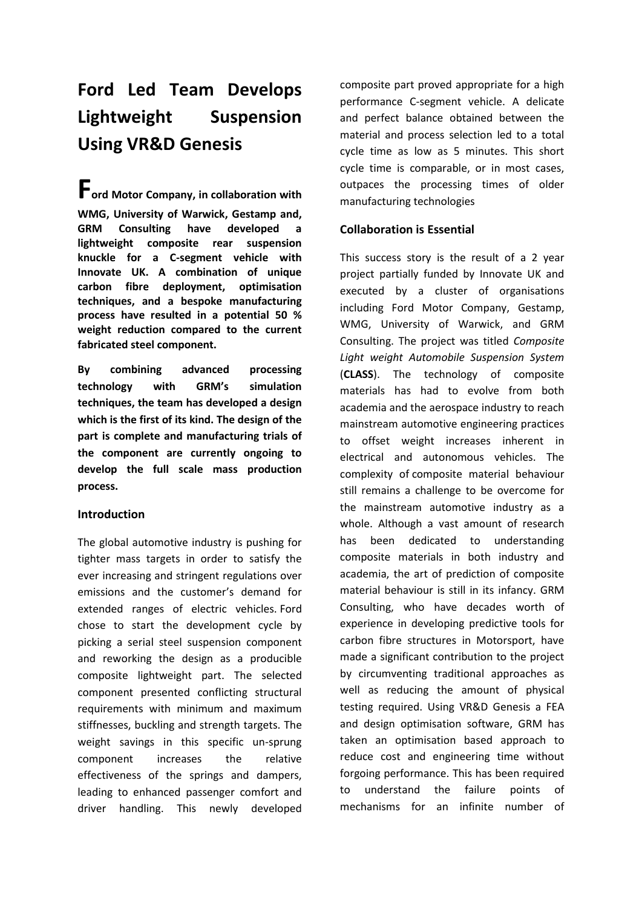# **Ford Led Team Develops Lightweight Suspension Using VR&D Genesis**

**Ford Motor Company, in collaboration with WMG, University of Warwick, Gestamp and, GRM Consulting have developed a lightweight composite rear suspension knuckle for a C-segment vehicle with Innovate UK. A combination of unique carbon fibre deployment, optimisation techniques, and a bespoke manufacturing process have resulted in a potential 50 % weight reduction compared to the current fabricated steel component.** 

**By combining advanced processing technology with GRM's simulation techniques, the team has developed a design which is the first of its kind. The design of the part is complete and manufacturing trials of the component are currently ongoing to develop the full scale mass production process.**

## **Introduction**

The global automotive industry is pushing for tighter mass targets in order to satisfy the ever increasing and stringent regulations over emissions and the customer's demand for extended ranges of electric vehicles. Ford chose to start the development cycle by picking a serial steel suspension component and reworking the design as a producible composite lightweight part. The selected component presented conflicting structural requirements with minimum and maximum stiffnesses, buckling and strength targets. The weight savings in this specific un-sprung component increases the relative effectiveness of the springs and dampers, leading to enhanced passenger comfort and driver handling. This newly developed composite part proved appropriate for a high performance C-segment vehicle. A delicate and perfect balance obtained between the material and process selection led to a total cycle time as low as 5 minutes. This short cycle time is comparable, or in most cases, outpaces the processing times of older manufacturing technologies

## **Collaboration is Essential**

This success story is the result of a 2 year project partially funded by Innovate UK and executed by a cluster of organisations including Ford Motor Company, Gestamp, WMG, University of Warwick, and GRM Consulting. The project was titled *Composite Light weight Automobile Suspension System* (**CLASS**). The technology of composite materials has had to evolve from both academia and the aerospace industry to reach mainstream automotive engineering practices to offset weight increases inherent in electrical and autonomous vehicles. The complexity of composite material behaviour still remains a challenge to be overcome for the mainstream automotive industry as a whole. Although a vast amount of research has been dedicated to understanding composite materials in both industry and academia, the art of prediction of composite material behaviour is still in its infancy. GRM Consulting, who have decades worth of experience in developing predictive tools for carbon fibre structures in Motorsport, have made a significant contribution to the project by circumventing traditional approaches as well as reducing the amount of physical testing required. Using VR&D Genesis a FEA and design optimisation software, GRM has taken an optimisation based approach to reduce cost and engineering time without forgoing performance. This has been required to understand the failure points of mechanisms for an infinite number of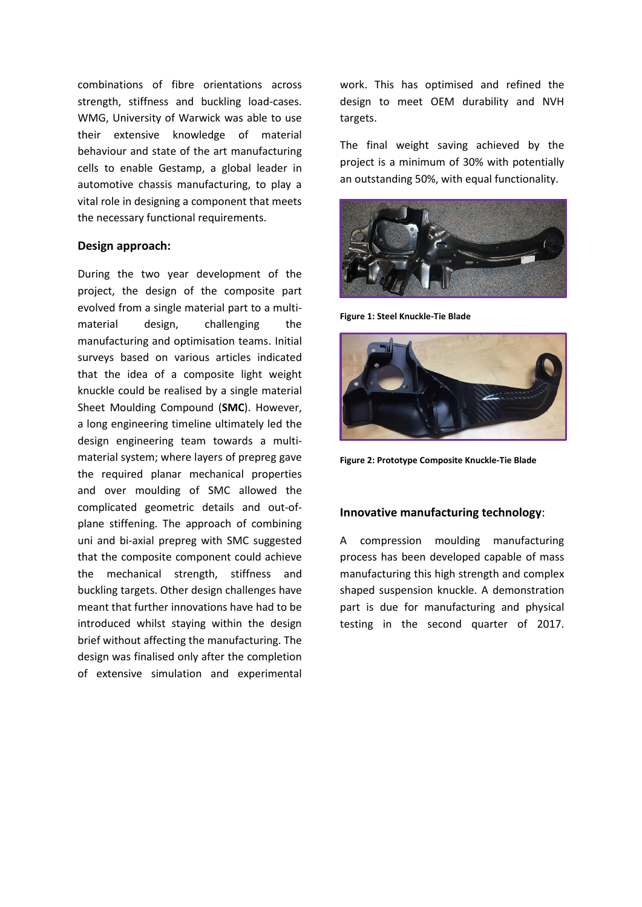combinations of fibre orientations across strength, stiffness and buckling load-cases. WMG, University of Warwick was able to use their extensive knowledge of material behaviour and state of the art manufacturing cells to enable Gestamp, a global leader in automotive chassis manufacturing, to play a vital role in designing a component that meets the necessary functional requirements.

#### **Design approach:**

During the two year development of the project, the design of the composite part evolved from a single material part to a multimaterial design, challenging the manufacturing and optimisation teams. Initial surveys based on various articles indicated that the idea of a composite light weight knuckle could be realised by a single material Sheet Moulding Compound (**SMC**). However, a long engineering timeline ultimately led the design engineering team towards a multimaterial system; where layers of prepreg gave the required planar mechanical properties and over moulding of SMC allowed the complicated geometric details and out-ofplane stiffening. The approach of combining uni and bi-axial prepreg with SMC suggested that the composite component could achieve the mechanical strength, stiffness and buckling targets. Other design challenges have meant that further innovations have had to be introduced whilst staying within the design brief without affecting the manufacturing. The design was finalised only after the completion of extensive simulation and experimental

work. This has optimised and refined the design to meet OEM durability and NVH targets.

The final weight saving achieved by the project is a minimum of 30% with potentially an outstanding 50%, with equal functionality.



**Figure 1: Steel Knuckle-Tie Blade**



**Figure 2: Prototype Composite Knuckle-Tie Blade**

### **Innovative manufacturing technology**:

A compression moulding manufacturing process has been developed capable of mass manufacturing this high strength and complex shaped suspension knuckle. A demonstration part is due for manufacturing and physical testing in the second quarter of 2017.